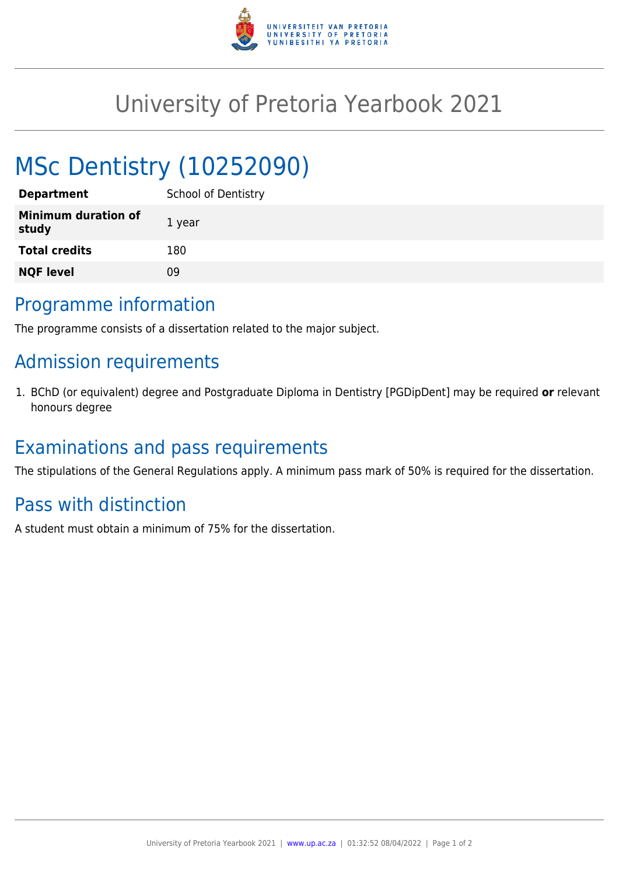

# University of Pretoria Yearbook 2021

# MSc Dentistry (10252090)

| <b>Department</b>                   | <b>School of Dentistry</b> |
|-------------------------------------|----------------------------|
| <b>Minimum duration of</b><br>study | 1 year                     |
| <b>Total credits</b>                | 180                        |
| <b>NQF level</b>                    | Ωd                         |

#### Programme information

The programme consists of a dissertation related to the major subject.

## Admission requirements

1. BChD (or equivalent) degree and Postgraduate Diploma in Dentistry [PGDipDent] may be required **or** relevant honours degree

### Examinations and pass requirements

The stipulations of the General Regulations apply. A minimum pass mark of 50% is required for the dissertation.

### Pass with distinction

A student must obtain a minimum of 75% for the dissertation.